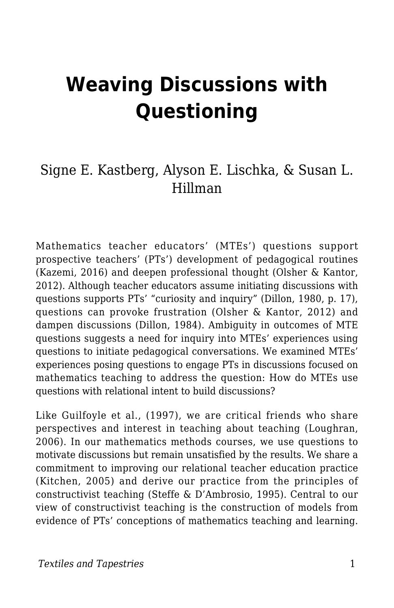# **Weaving Discussions with Questioning**

### Signe E. Kastberg, Alyson E. Lischka, & Susan L. Hillman

Mathematics teacher educators' (MTEs') questions support prospective teachers' (PTs') development of pedagogical routines (Kazemi, 2016) and deepen professional thought (Olsher & Kantor, 2012). Although teacher educators assume initiating discussions with questions supports PTs' "curiosity and inquiry" (Dillon, 1980, p. 17), questions can provoke frustration (Olsher & Kantor, 2012) and dampen discussions (Dillon, 1984). Ambiguity in outcomes of MTE questions suggests a need for inquiry into MTEs' experiences using questions to initiate pedagogical conversations. We examined MTEs' experiences posing questions to engage PTs in discussions focused on mathematics teaching to address the question: How do MTEs use questions with relational intent to build discussions?

Like Guilfoyle et al., (1997), we are critical friends who share perspectives and interest in teaching about teaching (Loughran, 2006). In our mathematics methods courses, we use questions to motivate discussions but remain unsatisfied by the results. We share a commitment to improving our relational teacher education practice (Kitchen, 2005) and derive our practice from the principles of constructivist teaching (Steffe & D'Ambrosio, 1995). Central to our view of constructivist teaching is the construction of models from evidence of PTs' conceptions of mathematics teaching and learning.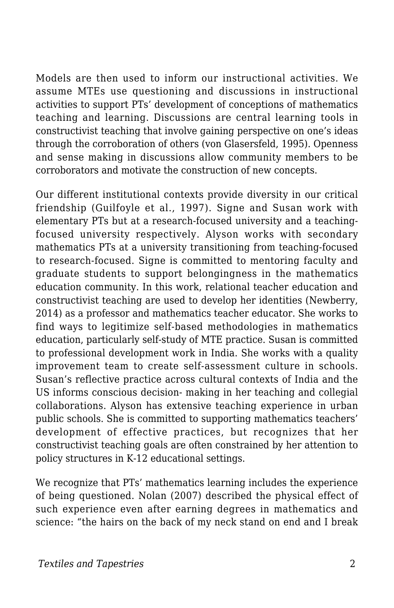Models are then used to inform our instructional activities. We assume MTEs use questioning and discussions in instructional activities to support PTs' development of conceptions of mathematics teaching and learning. Discussions are central learning tools in constructivist teaching that involve gaining perspective on one's ideas through the corroboration of others (von Glasersfeld, 1995). Openness and sense making in discussions allow community members to be corroborators and motivate the construction of new concepts.

Our different institutional contexts provide diversity in our critical friendship (Guilfoyle et al., 1997). Signe and Susan work with elementary PTs but at a research-focused university and a teachingfocused university respectively. Alyson works with secondary mathematics PTs at a university transitioning from teaching-focused to research-focused. Signe is committed to mentoring faculty and graduate students to support belongingness in the mathematics education community. In this work, relational teacher education and constructivist teaching are used to develop her identities (Newberry, 2014) as a professor and mathematics teacher educator. She works to find ways to legitimize self-based methodologies in mathematics education, particularly self-study of MTE practice. Susan is committed to professional development work in India. She works with a quality improvement team to create self-assessment culture in schools. Susan's reflective practice across cultural contexts of India and the US informs conscious decision- making in her teaching and collegial collaborations. Alyson has extensive teaching experience in urban public schools. She is committed to supporting mathematics teachers' development of effective practices, but recognizes that her constructivist teaching goals are often constrained by her attention to policy structures in K-12 educational settings.

We recognize that PTs' mathematics learning includes the experience of being questioned. Nolan (2007) described the physical effect of such experience even after earning degrees in mathematics and science: "the hairs on the back of my neck stand on end and I break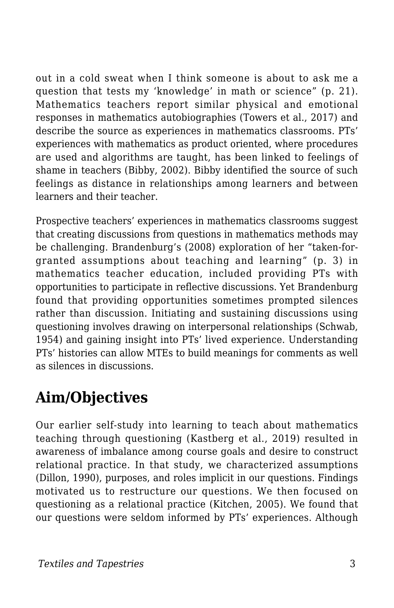out in a cold sweat when I think someone is about to ask me a question that tests my 'knowledge' in math or science" (p. 21). Mathematics teachers report similar physical and emotional responses in mathematics autobiographies (Towers et al., 2017) and describe the source as experiences in mathematics classrooms. PTs' experiences with mathematics as product oriented, where procedures are used and algorithms are taught, has been linked to feelings of shame in teachers (Bibby, 2002). Bibby identified the source of such feelings as distance in relationships among learners and between learners and their teacher.

Prospective teachers' experiences in mathematics classrooms suggest that creating discussions from questions in mathematics methods may be challenging. Brandenburg's (2008) exploration of her "taken-forgranted assumptions about teaching and learning" (p. 3) in mathematics teacher education, included providing PTs with opportunities to participate in reflective discussions. Yet Brandenburg found that providing opportunities sometimes prompted silences rather than discussion. Initiating and sustaining discussions using questioning involves drawing on interpersonal relationships (Schwab, 1954) and gaining insight into PTs' lived experience. Understanding PTs' histories can allow MTEs to build meanings for comments as well as silences in discussions.

# **Aim/Objectives**

Our earlier self-study into learning to teach about mathematics teaching through questioning (Kastberg et al., 2019) resulted in awareness of imbalance among course goals and desire to construct relational practice. In that study, we characterized assumptions (Dillon, 1990), purposes, and roles implicit in our questions. Findings motivated us to restructure our questions. We then focused on questioning as a relational practice (Kitchen, 2005). We found that our questions were seldom informed by PTs' experiences. Although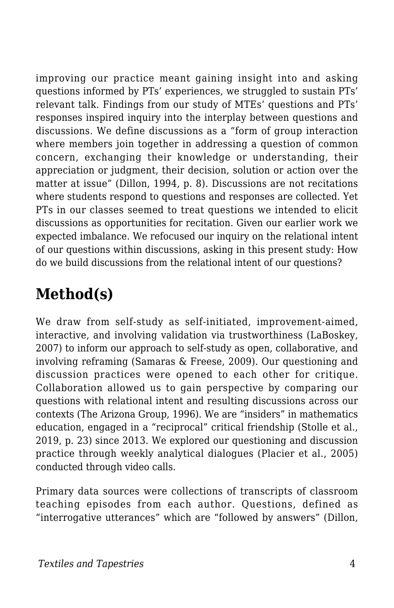improving our practice meant gaining insight into and asking questions informed by PTs' experiences, we struggled to sustain PTs' relevant talk. Findings from our study of MTEs' questions and PTs' responses inspired inquiry into the interplay between questions and discussions. We define discussions as a "form of group interaction where members join together in addressing a question of common concern, exchanging their knowledge or understanding, their appreciation or judgment, their decision, solution or action over the matter at issue" (Dillon, 1994, p. 8). Discussions are not recitations where students respond to questions and responses are collected. Yet PTs in our classes seemed to treat questions we intended to elicit discussions as opportunities for recitation. Given our earlier work we expected imbalance. We refocused our inquiry on the relational intent of our questions within discussions, asking in this present study: How do we build discussions from the relational intent of our questions?

## **Method(s)**

We draw from self-study as self-initiated, improvement-aimed, interactive, and involving validation via trustworthiness (LaBoskey, 2007) to inform our approach to self-study as open, collaborative, and involving reframing (Samaras & Freese, 2009). Our questioning and discussion practices were opened to each other for critique. Collaboration allowed us to gain perspective by comparing our questions with relational intent and resulting discussions across our contexts (The Arizona Group, 1996). We are "insiders" in mathematics education, engaged in a "reciprocal" critical friendship (Stolle et al., 2019, p. 23) since 2013. We explored our questioning and discussion practice through weekly analytical dialogues (Placier et al., 2005) conducted through video calls.

Primary data sources were collections of transcripts of classroom teaching episodes from each author. Questions, defined as "interrogative utterances" which are "followed by answers" (Dillon,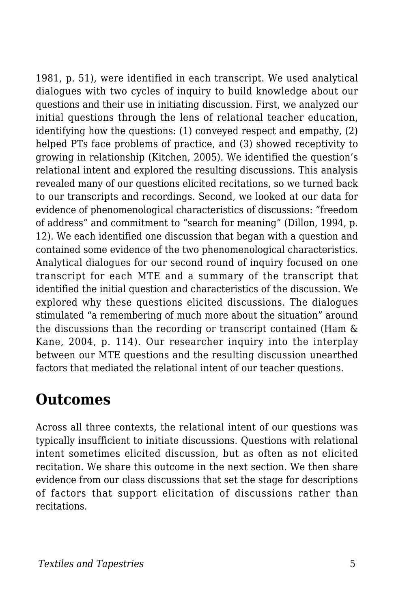1981, p. 51), were identified in each transcript. We used analytical dialogues with two cycles of inquiry to build knowledge about our questions and their use in initiating discussion. First, we analyzed our initial questions through the lens of relational teacher education, identifying how the questions: (1) conveyed respect and empathy, (2) helped PTs face problems of practice, and (3) showed receptivity to growing in relationship (Kitchen, 2005). We identified the question's relational intent and explored the resulting discussions. This analysis revealed many of our questions elicited recitations, so we turned back to our transcripts and recordings. Second, we looked at our data for evidence of phenomenological characteristics of discussions: "freedom of address" and commitment to "search for meaning" (Dillon, 1994, p. 12). We each identified one discussion that began with a question and contained some evidence of the two phenomenological characteristics. Analytical dialogues for our second round of inquiry focused on one transcript for each MTE and a summary of the transcript that identified the initial question and characteristics of the discussion. We explored why these questions elicited discussions. The dialogues stimulated "a remembering of much more about the situation" around the discussions than the recording or transcript contained (Ham & Kane, 2004, p. 114). Our researcher inquiry into the interplay between our MTE questions and the resulting discussion unearthed factors that mediated the relational intent of our teacher questions.

### **Outcomes**

Across all three contexts, the relational intent of our questions was typically insufficient to initiate discussions. Questions with relational intent sometimes elicited discussion, but as often as not elicited recitation. We share this outcome in the next section. We then share evidence from our class discussions that set the stage for descriptions of factors that support elicitation of discussions rather than recitations.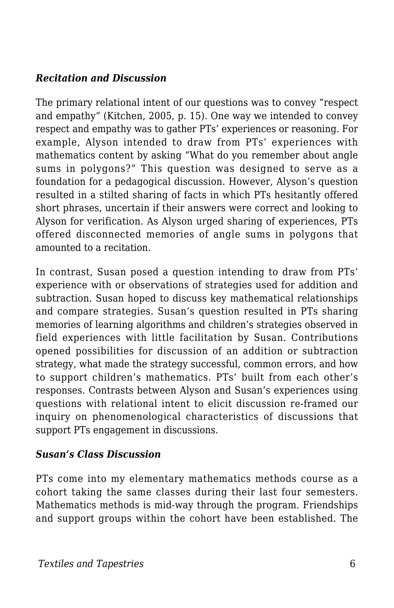#### *Recitation and Discussion*

The primary relational intent of our questions was to convey "respect and empathy" (Kitchen, 2005, p. 15). One way we intended to convey respect and empathy was to gather PTs' experiences or reasoning. For example, Alyson intended to draw from PTs' experiences with mathematics content by asking "What do you remember about angle sums in polygons?" This question was designed to serve as a foundation for a pedagogical discussion. However, Alyson's question resulted in a stilted sharing of facts in which PTs hesitantly offered short phrases, uncertain if their answers were correct and looking to Alyson for verification. As Alyson urged sharing of experiences, PTs offered disconnected memories of angle sums in polygons that amounted to a recitation.

In contrast, Susan posed a question intending to draw from PTs' experience with or observations of strategies used for addition and subtraction. Susan hoped to discuss key mathematical relationships and compare strategies. Susan's question resulted in PTs sharing memories of learning algorithms and children's strategies observed in field experiences with little facilitation by Susan. Contributions opened possibilities for discussion of an addition or subtraction strategy, what made the strategy successful, common errors, and how to support children's mathematics. PTs' built from each other's responses. Contrasts between Alyson and Susan's experiences using questions with relational intent to elicit discussion re-framed our inquiry on phenomenological characteristics of discussions that support PTs engagement in discussions.

#### *Susan's Class Discussion*

PTs come into my elementary mathematics methods course as a cohort taking the same classes during their last four semesters. Mathematics methods is mid-way through the program. Friendships and support groups within the cohort have been established. The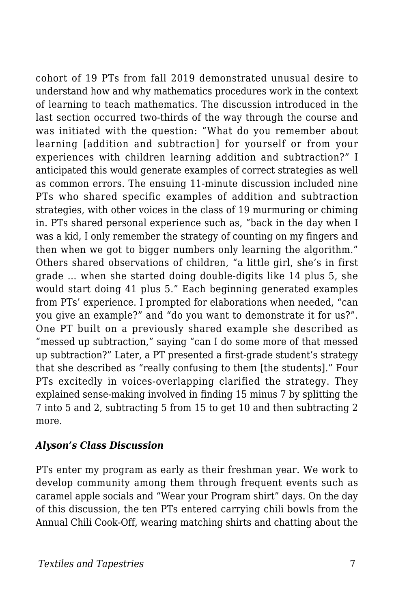cohort of 19 PTs from fall 2019 demonstrated unusual desire to understand how and why mathematics procedures work in the context of learning to teach mathematics. The discussion introduced in the last section occurred two-thirds of the way through the course and was initiated with the question: "What do you remember about learning [addition and subtraction] for yourself or from your experiences with children learning addition and subtraction?" I anticipated this would generate examples of correct strategies as well as common errors. The ensuing 11-minute discussion included nine PTs who shared specific examples of addition and subtraction strategies, with other voices in the class of 19 murmuring or chiming in. PTs shared personal experience such as, "back in the day when I was a kid, I only remember the strategy of counting on my fingers and then when we got to bigger numbers only learning the algorithm." Others shared observations of children, "a little girl, she's in first grade … when she started doing double-digits like 14 plus 5, she would start doing 41 plus 5." Each beginning generated examples from PTs' experience. I prompted for elaborations when needed, "can you give an example?" and "do you want to demonstrate it for us?". One PT built on a previously shared example she described as "messed up subtraction," saying "can I do some more of that messed up subtraction?" Later, a PT presented a first-grade student's strategy that she described as "really confusing to them [the students]." Four PTs excitedly in voices-overlapping clarified the strategy. They explained sense-making involved in finding 15 minus 7 by splitting the 7 into 5 and 2, subtracting 5 from 15 to get 10 and then subtracting 2 more.

#### *Alyson's Class Discussion*

PTs enter my program as early as their freshman year. We work to develop community among them through frequent events such as caramel apple socials and "Wear your Program shirt" days. On the day of this discussion, the ten PTs entered carrying chili bowls from the Annual Chili Cook-Off, wearing matching shirts and chatting about the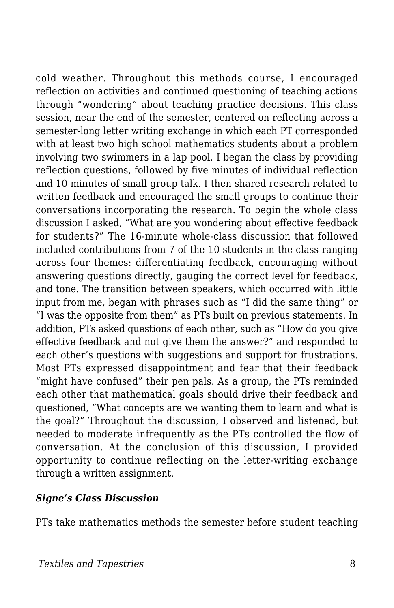cold weather. Throughout this methods course, I encouraged reflection on activities and continued questioning of teaching actions through "wondering" about teaching practice decisions. This class session, near the end of the semester, centered on reflecting across a semester-long letter writing exchange in which each PT corresponded with at least two high school mathematics students about a problem involving two swimmers in a lap pool. I began the class by providing reflection questions, followed by five minutes of individual reflection and 10 minutes of small group talk. I then shared research related to written feedback and encouraged the small groups to continue their conversations incorporating the research. To begin the whole class discussion I asked, "What are you wondering about effective feedback for students?" The 16-minute whole-class discussion that followed included contributions from 7 of the 10 students in the class ranging across four themes: differentiating feedback, encouraging without answering questions directly, gauging the correct level for feedback, and tone. The transition between speakers, which occurred with little input from me, began with phrases such as "I did the same thing" or "I was the opposite from them" as PTs built on previous statements. In addition, PTs asked questions of each other, such as "How do you give effective feedback and not give them the answer?" and responded to each other's questions with suggestions and support for frustrations. Most PTs expressed disappointment and fear that their feedback "might have confused" their pen pals. As a group, the PTs reminded each other that mathematical goals should drive their feedback and questioned, "What concepts are we wanting them to learn and what is the goal?" Throughout the discussion, I observed and listened, but needed to moderate infrequently as the PTs controlled the flow of conversation. At the conclusion of this discussion, I provided opportunity to continue reflecting on the letter-writing exchange through a written assignment.

#### *Signe's Class Discussion*

PTs take mathematics methods the semester before student teaching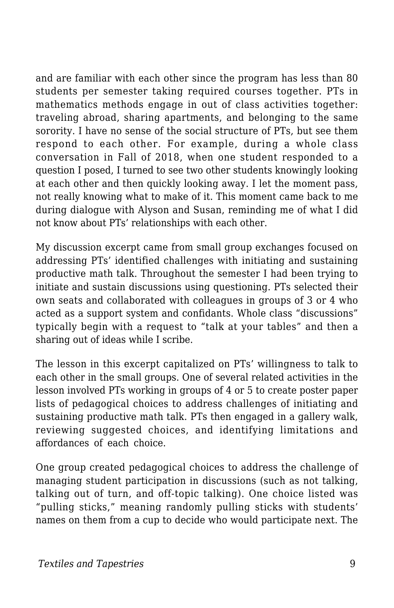and are familiar with each other since the program has less than 80 students per semester taking required courses together. PTs in mathematics methods engage in out of class activities together: traveling abroad, sharing apartments, and belonging to the same sorority. I have no sense of the social structure of PTs, but see them respond to each other. For example, during a whole class conversation in Fall of 2018, when one student responded to a question I posed, I turned to see two other students knowingly looking at each other and then quickly looking away. I let the moment pass, not really knowing what to make of it. This moment came back to me during dialogue with Alyson and Susan, reminding me of what I did not know about PTs' relationships with each other.

My discussion excerpt came from small group exchanges focused on addressing PTs' identified challenges with initiating and sustaining productive math talk. Throughout the semester I had been trying to initiate and sustain discussions using questioning. PTs selected their own seats and collaborated with colleagues in groups of 3 or 4 who acted as a support system and confidants. Whole class "discussions" typically begin with a request to "talk at your tables" and then a sharing out of ideas while I scribe.

The lesson in this excerpt capitalized on PTs' willingness to talk to each other in the small groups. One of several related activities in the lesson involved PTs working in groups of 4 or 5 to create poster paper lists of pedagogical choices to address challenges of initiating and sustaining productive math talk. PTs then engaged in a gallery walk, reviewing suggested choices, and identifying limitations and affordances of each choice.

One group created pedagogical choices to address the challenge of managing student participation in discussions (such as not talking, talking out of turn, and off-topic talking). One choice listed was "pulling sticks," meaning randomly pulling sticks with students' names on them from a cup to decide who would participate next. The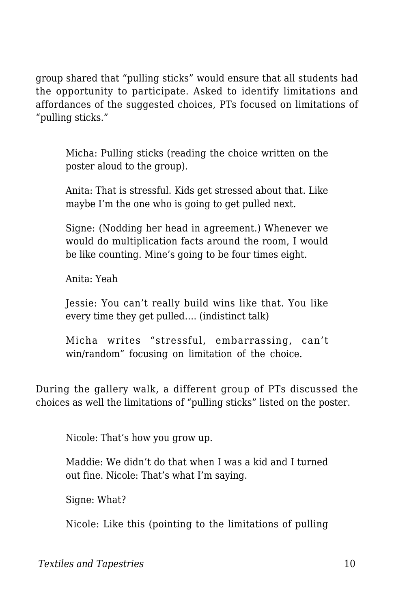group shared that "pulling sticks" would ensure that all students had the opportunity to participate. Asked to identify limitations and affordances of the suggested choices, PTs focused on limitations of "pulling sticks."

Micha: Pulling sticks (reading the choice written on the poster aloud to the group).

Anita: That is stressful. Kids get stressed about that. Like maybe I'm the one who is going to get pulled next.

Signe: (Nodding her head in agreement.) Whenever we would do multiplication facts around the room, I would be like counting. Mine's going to be four times eight.

Anita: Yeah

Jessie: You can't really build wins like that. You like every time they get pulled…. (indistinct talk)

Micha writes "stressful, embarrassing, can't win/random" focusing on limitation of the choice.

During the gallery walk, a different group of PTs discussed the choices as well the limitations of "pulling sticks" listed on the poster.

Nicole: That's how you grow up.

Maddie: We didn't do that when I was a kid and I turned out fine. Nicole: That's what I'm saying.

Signe: What?

Nicole: Like this (pointing to the limitations of pulling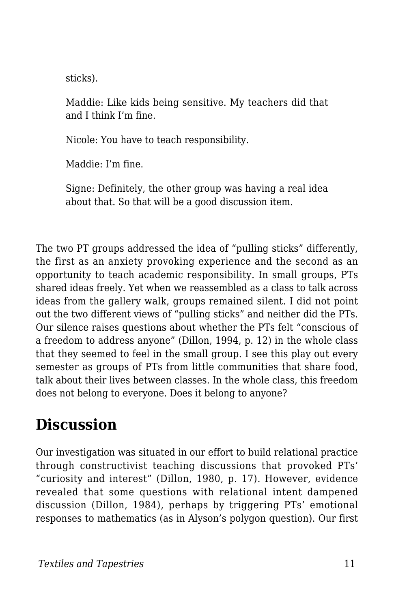sticks).

Maddie: Like kids being sensitive. My teachers did that and I think I'm fine.

Nicole: You have to teach responsibility.

Maddie: I'm fine.

Signe: Definitely, the other group was having a real idea about that. So that will be a good discussion item.

The two PT groups addressed the idea of "pulling sticks" differently, the first as an anxiety provoking experience and the second as an opportunity to teach academic responsibility. In small groups, PTs shared ideas freely. Yet when we reassembled as a class to talk across ideas from the gallery walk, groups remained silent. I did not point out the two different views of "pulling sticks" and neither did the PTs. Our silence raises questions about whether the PTs felt "conscious of a freedom to address anyone" (Dillon, 1994, p. 12) in the whole class that they seemed to feel in the small group. I see this play out every semester as groups of PTs from little communities that share food, talk about their lives between classes. In the whole class, this freedom does not belong to everyone. Does it belong to anyone?

### **Discussion**

Our investigation was situated in our effort to build relational practice through constructivist teaching discussions that provoked PTs' "curiosity and interest" (Dillon, 1980, p. 17). However, evidence revealed that some questions with relational intent dampened discussion (Dillon, 1984), perhaps by triggering PTs' emotional responses to mathematics (as in Alyson's polygon question). Our first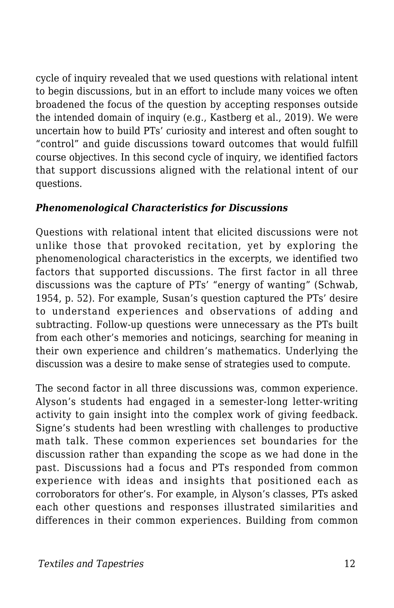cycle of inquiry revealed that we used questions with relational intent to begin discussions, but in an effort to include many voices we often broadened the focus of the question by accepting responses outside the intended domain of inquiry (e.g., Kastberg et al., 2019). We were uncertain how to build PTs' curiosity and interest and often sought to "control" and guide discussions toward outcomes that would fulfill course objectives. In this second cycle of inquiry, we identified factors that support discussions aligned with the relational intent of our questions.

#### *Phenomenological Characteristics for Discussions*

Questions with relational intent that elicited discussions were not unlike those that provoked recitation, yet by exploring the phenomenological characteristics in the excerpts, we identified two factors that supported discussions. The first factor in all three discussions was the capture of PTs' "energy of wanting" (Schwab, 1954, p. 52). For example, Susan's question captured the PTs' desire to understand experiences and observations of adding and subtracting. Follow-up questions were unnecessary as the PTs built from each other's memories and noticings, searching for meaning in their own experience and children's mathematics. Underlying the discussion was a desire to make sense of strategies used to compute.

The second factor in all three discussions was, common experience. Alyson's students had engaged in a semester-long letter-writing activity to gain insight into the complex work of giving feedback. Signe's students had been wrestling with challenges to productive math talk. These common experiences set boundaries for the discussion rather than expanding the scope as we had done in the past. Discussions had a focus and PTs responded from common experience with ideas and insights that positioned each as corroborators for other's. For example, in Alyson's classes, PTs asked each other questions and responses illustrated similarities and differences in their common experiences. Building from common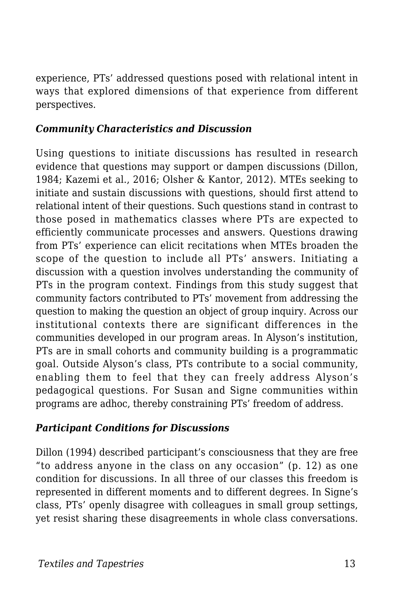experience, PTs' addressed questions posed with relational intent in ways that explored dimensions of that experience from different perspectives.

#### *Community Characteristics and Discussion*

Using questions to initiate discussions has resulted in research evidence that questions may support or dampen discussions (Dillon, 1984; Kazemi et al., 2016; Olsher & Kantor, 2012). MTEs seeking to initiate and sustain discussions with questions, should first attend to relational intent of their questions. Such questions stand in contrast to those posed in mathematics classes where PTs are expected to efficiently communicate processes and answers. Questions drawing from PTs' experience can elicit recitations when MTEs broaden the scope of the question to include all PTs' answers. Initiating a discussion with a question involves understanding the community of PTs in the program context. Findings from this study suggest that community factors contributed to PTs' movement from addressing the question to making the question an object of group inquiry. Across our institutional contexts there are significant differences in the communities developed in our program areas. In Alyson's institution, PTs are in small cohorts and community building is a programmatic goal. Outside Alyson's class, PTs contribute to a social community, enabling them to feel that they can freely address Alyson's pedagogical questions. For Susan and Signe communities within programs are adhoc, thereby constraining PTs' freedom of address.

#### *Participant Conditions for Discussions*

Dillon (1994) described participant's consciousness that they are free "to address anyone in the class on any occasion" (p. 12) as one condition for discussions. In all three of our classes this freedom is represented in different moments and to different degrees. In Signe's class, PTs' openly disagree with colleagues in small group settings, yet resist sharing these disagreements in whole class conversations.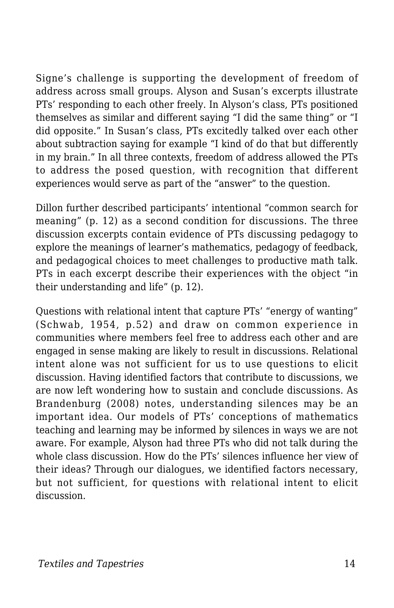Signe's challenge is supporting the development of freedom of address across small groups. Alyson and Susan's excerpts illustrate PTs' responding to each other freely. In Alyson's class, PTs positioned themselves as similar and different saying "I did the same thing" or "I did opposite." In Susan's class, PTs excitedly talked over each other about subtraction saying for example "I kind of do that but differently in my brain." In all three contexts, freedom of address allowed the PTs to address the posed question, with recognition that different experiences would serve as part of the "answer" to the question.

Dillon further described participants' intentional "common search for meaning" (p. 12) as a second condition for discussions. The three discussion excerpts contain evidence of PTs discussing pedagogy to explore the meanings of learner's mathematics, pedagogy of feedback, and pedagogical choices to meet challenges to productive math talk. PTs in each excerpt describe their experiences with the object "in their understanding and life" (p. 12).

Questions with relational intent that capture PTs' "energy of wanting" (Schwab, 1954, p.52) and draw on common experience in communities where members feel free to address each other and are engaged in sense making are likely to result in discussions. Relational intent alone was not sufficient for us to use questions to elicit discussion. Having identified factors that contribute to discussions, we are now left wondering how to sustain and conclude discussions. As Brandenburg (2008) notes, understanding silences may be an important idea. Our models of PTs' conceptions of mathematics teaching and learning may be informed by silences in ways we are not aware. For example, Alyson had three PTs who did not talk during the whole class discussion. How do the PTs' silences influence her view of their ideas? Through our dialogues, we identified factors necessary, but not sufficient, for questions with relational intent to elicit discussion.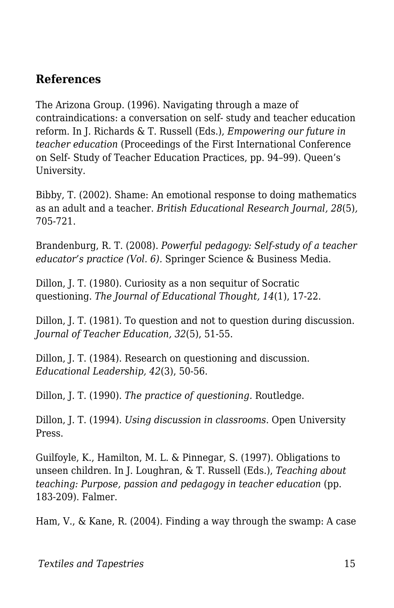#### **References**

The Arizona Group. (1996). Navigating through a maze of contraindications: a conversation on self- study and teacher education reform. In J. Richards & T. Russell (Eds.), *Empowering our future in teacher education* (Proceedings of the First International Conference on Self- Study of Teacher Education Practices, pp. 94–99). Queen's University.

Bibby, T. (2002). Shame: An emotional response to doing mathematics as an adult and a teacher. *British Educational Research Journal, 28*(5)*,* 705-721.

Brandenburg, R. T. (2008). *Powerful pedagogy: Self-study of a teacher educator's practice (Vol. 6).* Springer Science & Business Media.

Dillon, J. T. (1980). Curiosity as a non sequitur of Socratic questioning. *The Journal of Educational Thought, 14*(1), 17-22.

Dillon, J. T. (1981). To question and not to question during discussion. *Journal of Teacher Education, 32*(5), 51-55.

Dillon, J. T. (1984). Research on questioning and discussion. *Educational Leadership, 42*(3), 50-56.

Dillon, J. T. (1990). *The practice of questioning.* Routledge.

Dillon, J. T. (1994). *Using discussion in classrooms*. Open University Press.

Guilfoyle, K., Hamilton, M. L. & Pinnegar, S. (1997). Obligations to unseen children. In J. Loughran, & T. Russell (Eds.), *Teaching about teaching: Purpose, passion and pedagogy in teacher education (pp.* 183-209). Falmer.

Ham, V., & Kane, R. (2004). Finding a way through the swamp: A case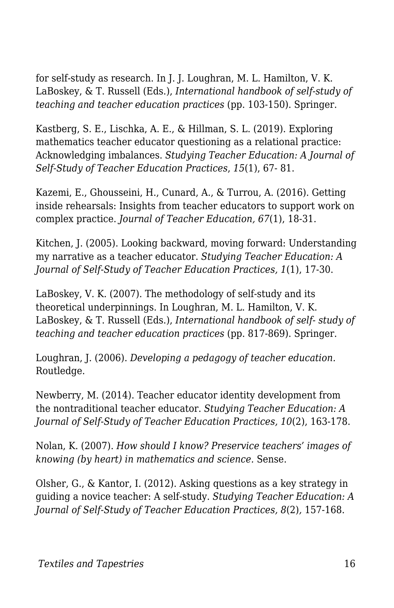for self-study as research. In J. J. Loughran, M. L. Hamilton, V. K. LaBoskey, & T. Russell (Eds.), *International handbook of self-study of teaching and teacher education practices* (pp. 103-150). Springer.

Kastberg, S. E., Lischka, A. E., & Hillman, S. L. (2019). Exploring mathematics teacher educator questioning as a relational practice: Acknowledging imbalances. *Studying Teacher Education: A Journal of Self-Study of Teacher Education Practices*, *15*(1), 67- 81.

Kazemi, E., Ghousseini, H., Cunard, A., & Turrou, A. (2016). Getting inside rehearsals: Insights from teacher educators to support work on complex practice. *Journal of Teacher Education, 67*(1), 18-31.

Kitchen, J. (2005). Looking backward, moving forward: Understanding my narrative as a teacher educator. *Studying Teacher Education: A Journal of Self-Study of Teacher Education Practices, 1*(1), 17-30.

LaBoskey, V. K. (2007). The methodology of self-study and its theoretical underpinnings. In Loughran, M. L. Hamilton, V. K. LaBoskey, & T. Russell (Eds.), *International handbook of self- study of teaching and teacher education practices* (pp. 817-869). Springer.

Loughran, J. (2006). *Developing a pedagogy of teacher education.* Routledge.

Newberry, M. (2014). Teacher educator identity development from the nontraditional teacher educator. *Studying Teacher Education: A Journal of Self-Study of Teacher Education Practices, 10*(2), 163-178.

Nolan, K. (2007). *How should I know? Preservice teachers' images of knowing (by heart) in mathematics and science.* Sense.

Olsher, G., & Kantor, I. (2012). Asking questions as a key strategy in guiding a novice teacher: A self-study. *Studying Teacher Education: A Journal of Self-Study of Teacher Education Practices, 8*(2)*,* 157-168.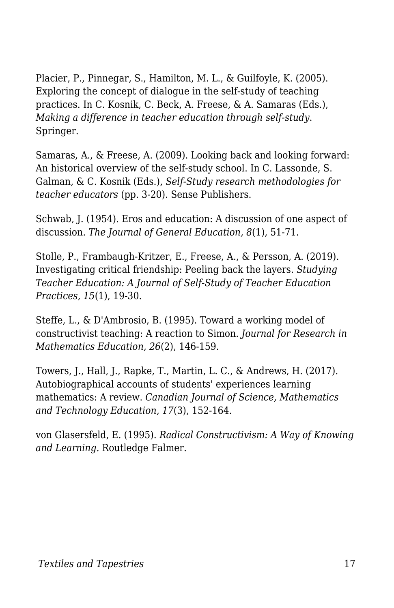Placier, P., Pinnegar, S., Hamilton, M. L., & Guilfoyle, K. (2005). Exploring the concept of dialogue in the self-study of teaching practices. In C. Kosnik, C. Beck, A. Freese, & A. Samaras (Eds.), *Making a difference in teacher education through self-study*. Springer.

Samaras, A., & Freese, A. (2009). Looking back and looking forward: An historical overview of the self-study school. In C. Lassonde, S. Galman, & C. Kosnik (Eds.), *Self-Study research methodologies for teacher educators* (pp. 3-20). Sense Publishers.

Schwab, J. (1954). Eros and education: A discussion of one aspect of discussion. *The Journal of General Education, 8*(1), 51-71.

Stolle, P., Frambaugh-Kritzer, E., Freese, A., & Persson, A. (2019). Investigating critical friendship: Peeling back the layers. *Studying Teacher Education: A Journal of Self-Study of Teacher Education Practices, 15*(1), 19-30.

Steffe, L., & D'Ambrosio, B. (1995). Toward a working model of constructivist teaching: A reaction to Simon. *Journal for Research in Mathematics Education, 26*(2), 146-159.

Towers, J., Hall, J., Rapke, T., Martin, L. C., & Andrews, H. (2017). Autobiographical accounts of students' experiences learning mathematics: A review. *Canadian Journal of Science, Mathematics and Technology Education, 17*(3), 152-164.

von Glasersfeld, E. (1995). *Radical Constructivism: A Way of Knowing and Learning.* Routledge Falmer.